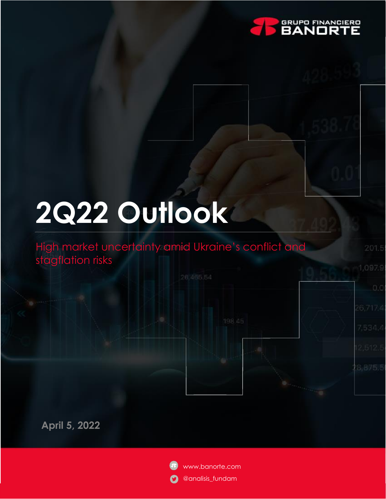

1,097.9

 $0.0$ 

# **2Q22 Outlook**

## High market uncertainty amid Ukraine's conflict and stagflation risks

**April 5, 2022**

www.banorte.com @analisis\_fundam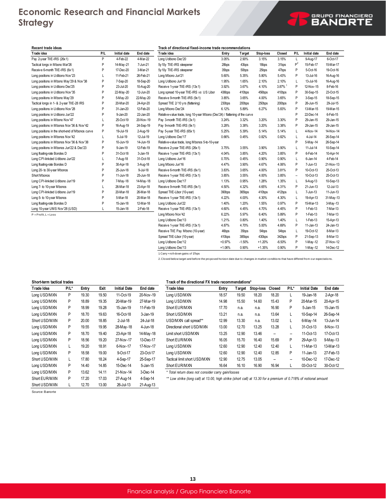## **Economic Research and Financial Markets Strategy**

| Recent trade ideas                              |     |                     |           | Track of directional fixed-income trade recommendations                     |          |                    |           |                    |         |                     |              |
|-------------------------------------------------|-----|---------------------|-----------|-----------------------------------------------------------------------------|----------|--------------------|-----------|--------------------|---------|---------------------|--------------|
| Trade idea                                      | P/L | <b>Initial date</b> | End date  | Trade idea                                                                  | Entry    | Target             | Stop-loss | Closed             | P/L     | <b>Initial date</b> | End date     |
| Pay 2-year TIIE-IRS (26x1)                      | P   | 4-Feb-22            | 4-Mar-22  | Long Udibono Dec'20                                                         | 3.05%    | 2.90%              | 3.15%     | 3.15%              | L       | 9-Aug-17            | 6-Oct-17     |
| Tactical longs in Mbono Mar'26                  | P   | 14-May-21           | 7-Jun-21  | 5y 10y TIIE-IRS steepener                                                   | 28bps    | 43bps              | 18bps     | 31bps              | $P^2$   | 15-Feb-17           | 15-Mar-17    |
| Receive 6-month TIIE-IRS (6x1)                  | P   | 17-Dec-20           | 3-Mar-21  | 5y 10y TIIE-IRS steepener                                                   | 35bps    | 50 <sub>bps</sub>  | 25bps     | 47bps              | P       | 5-Oct-16            | 19-Oct-16    |
| Long positions in Udibono Nov'23                | L   | 11-Feb-21           | 26-Feb-21 | Long Mbono Jun'21                                                           | 5.60%    | 5.35%              | 5.80%     | 5.43%              | P       | 13-Jul-16           | 16-Aug-16    |
| Long positions in Mbono May'29 & Nov'38         | P   | 7-Sep-20            | 18-Sep-20 | Long Udibono Jun'19                                                         | 1.95%    | 1.65%              | 2.10%     | 2.10%              | L       | 13-Jul-16           | 16-Aug-16    |
| Long positions in Udibono Dec'25                | P   | 23-Jul-20           | 10-Aug-20 | Receive 1-year TIIE-IRS (13x1)                                              | 3.92%    | 3.67%              | 4.10%     | 3.87% <sup>1</sup> | P       | 12-Nov-15           | 8-Feb-16     |
| Long positions in Udibono Nov'35                | Ρ   | 22-May-20           | 12-Jun-20 | Long spread 10-year TIIE-IRS vs US Libor                                    | 436bps   | 410bps             | 456bps    | 410bps             | P       | 30-Sep-15           | 23-Oct-15    |
| Long positions in Mbono May'29                  | Ρ   | 5-May-20            | 22-May-20 | Receive 9-month TIIE-IRS (9x1)                                              | 3.85%    | 3.65%              | 4.00%     | 3.65%              | Ρ       | 3-Sep-15            | 18-Sep-15    |
| Tactical longs in 1- & 2-year TIIE-28 IRS       | P   | 20-Mar-20           | 24-Apr-20 | Spread TIIE 2/10 yrs (flattening)                                           | 230bps   | 200 <sub>bps</sub> | 250bps    | 200bps             | P       | 26-Jun-15           | 29-Jul-15    |
| Long positions in Udibono Nov'28                | P   | 31-Jan-20           | 12-Feb-20 | Long Mbono Dec'24                                                           | 6.12%    | 5.89%              | 6.27%     | 5.83%              | P       | 13-Mar-15           | 19-Mar-15    |
| Long positions in Udibono Jun'22                | P   | 9-Jan-20            | 22-Jan-20 | Relative-value trade, long 10-year Mbono (Dec'24) / flattening of the curve |          |                    |           |                    | P       | 22-Dec-14           | 6-Feb-15     |
| Long positions in Mbono Nov'47                  | L   | 25-Oct-19           | 20-Nov-19 | Pay 3-month TIIE-IRS (3x1)                                                  | 3.24%    | 3.32%              | 3.20%     | 3.30%              | P       | 29-Jan-15           | 29-Jan-15    |
| Long positions in Mbonos Nov'36 & Nov'42        | Ρ   | 16-Aug-19           | 24-Sep-19 | Pay 9-month TIIE-IRS (9x1)                                                  | 3.28%    | 3.38%              | 3.20%     | 3.38%              | P       | 29-Jan-15           | 29-Jan-15    |
| Long positions in the short-end of Mbonos curve | Ρ   | 19-Jul-19           | 2-Aug-19  | Pay 5-year TIIE-IRS (65x1)                                                  | 5.25%    | 5.39%              | 5.14%     | 5.14%              | L       | 4-Nov-14            | 14-Nov-14    |
| Long positions in Mbonos Nov'42                 | L   | 5-Jul-19            | 12-Jul-19 | Long Udibono Dec'17                                                         | 0.66%    | 0.45%              | 0.82%     | 0.82%              | L       | 4-Jul-14            | 26-Sep-14    |
| Long positions in Mbonos Nov'36 & Nov'38        | P   | 10-Jun-19           | 14-Jun-19 | Relative-value trade, long Mbonos 5-to-10-year                              |          |                    |           |                    | P       | 5-May-14            | 26-Sep-14    |
| Long positions in Mbonos Jun'22 & Dec'23        | P   | 9-Jan-19            | 12-Feb-19 | Receive 2-year TIIE-IRS (26x1)                                              | 3.75%    | 3.55%              | 3.90%     | 3.90%              | L       | 11-Jul-14           | 10-Sep-14    |
| Long floating-rate Bondes D                     | P   | 31-Oct-18           | 3-Jan-19  | Receive 1-year TIIE-IRS (13x1)                                              | 4.04%    | 3.85%              | 4.20%     | 3.85%              | P       | 6-Feb-14            | 10-Apr-14    |
| Long CPI-linkded Udibono Jun'22                 | L   | 7-Aug-18            | 31-Oct-18 | Long Udibono Jun'16                                                         | 0.70%    | 0.45%              | 0.90%     | 0.90%              | L       | 6-Jan-14            | 4-Feb-14     |
| Long floating-rate Bondes D                     | P   | 30-Apr-18           | 3-Aug-18  | Long Mbono Jun'16                                                           | 4.47%    | 3.90%              | 4.67%     | 4.06%              | P       | 7-Jun-13            | 21-Nov-13    |
| Long 20- to 30-year Mbonos                      | P   | 25-Jun-18           | 9-Jul-18  | Receive 6-month TIIE-IRS (6x1)                                              | 3.83%    | 3.65%              | 4.00%     | 3.81%              | P       | 10-Oct-13           | 25-Oct-13    |
| Short Mbonos                                    | P   | 11-Jun-18           | 25-Jun-18 | Receive 1-year TIIE-IRS (13x1)                                              | 3.85%    | 3.55%              | 4.00%     | 3.85%              |         | 10-Oct-13           | 25-Oct-13    |
| Long CPI-linkded Udibono Jun'19                 | P   | 7-May-18            | 14-May-18 | Long Udibono Dec'17                                                         | 1.13%    | 0.95%              | 1.28%     | 1.35%              | L       | 9-Aug-13            | 10-Sep-13    |
| Long 7- to 10-year Mbonos                       | L   | 26-Mar-18           | 23-Apr-18 | Receive 9-month TIIE-IRS (9x1)                                              | 4.50%    | 4.32%              | 4.65%     | 4.31%              | P       | 21-Jun-13           | 12-Jul-13    |
| Long CPI-linkded Udibono Jun'19                 | P   | 20-Mar-18           | 26-Mar-18 | Spread TIIE-Libor (10-year)                                                 | 390bps   | 365bps             | 410bps    | 412bps             | L       | 7-Jun-13            | $11$ -Jun-13 |
| Long 5- to 10-year Mbonos                       | P   | 5-Mar-18            | 20-Mar-18 | Receive 1-year TIIE-IRS (13x1)                                              | 4.22%    | 4.00%              | 4.30%     | 4.30%              | L       | 19-Apr-13           | 31-May-13    |
| Long floating-rate Bondes D                     | P   | 15-Jan-18           | 12-Mar-18 | Long Udibono Jun'22                                                         | 1.40%    | 1.20%              | 1.55%     | 0.97%              | P       | 15-Mar-13           | 3-May-13     |
| Long 10-year UMS Nov'28 (USD)                   |     | 15-Jan-18           | 2-Feb-18  | Receive 1-year TIIE-IRS (13x1)                                              | 4.60%    | 4.45%              | 4.70%     | 4.45%              | P       | 1-Feb-13            | 7-Mar-13     |
| $P = Profit, L = Loss$                          |     |                     |           | Long Mbono Nov'42                                                           | 6.22%    | 5.97%              | 6.40%     | 5.89%              | P       | 1-Feb-13            | 7-Mar-13     |
|                                                 |     |                     |           | Long Udibono Dec'13                                                         | 1.21%    | 0.80%              | 1.40%     | 1.40%              | L       | 1-Feb-13            | 15-Apr-13    |
|                                                 |     |                     |           | Receive 1-year TIIE-IRS (13x1)                                              | 4.87%    | 4.70%              | 5.00%     | 4.69%              | Ρ       | 11-Jan-13           | 24-Jan-13    |
|                                                 |     |                     |           | Receive TIIE Pay Mbono (10-year)                                            | 46bps    | 35bps              | 54bps     | 54bps              | L       | 19-Oct-12           | 8-Mar-13     |
|                                                 |     |                     |           | Spread TIIE-Libor (10-year)                                                 | 410bps   | 385bps             | 430bps    | 342bps             | P       | 21-Sep-13           | 8-Mar-13     |
|                                                 |     |                     |           | Long Udibono Dec'12                                                         | $+0.97%$ | $-1.50%$           | $+1.20%$  | $-6.50%$           | $\sf P$ | 1-May-12            | 27-Nov-12    |
|                                                 |     |                     |           | Long Udibono Dec'13                                                         | $+1.06%$ | 0.90%              | $+1.35%$  | 0.90%              | P       | 1-May-12            | 14-Dec-12    |
|                                                 |     |                     |           | 1. Carry +roll-down gains of 17bps                                          |          |                    |           |                    |         |                     |              |

2. Closed below target and before the proposed horizon date due to changes in market conditions that have differed from our expectations.

**GRUPO FINANCIERE** 

| Short-term tactical trades |      |       |       |                     |           | Track of the directional FX trade recommendations*                                                               |       |        |           |        |         |                     |           |  |
|----------------------------|------|-------|-------|---------------------|-----------|------------------------------------------------------------------------------------------------------------------|-------|--------|-----------|--------|---------|---------------------|-----------|--|
| Trade Idea                 | P/L* | Entry | Exit  | <b>Initial Date</b> | End date  | Trade Idea                                                                                                       | Entry | Target | Stop-loss | Closed | $P/I^*$ | <b>Initial Date</b> | End date  |  |
| Long USD/MXN               | P    | 19.30 | 19.50 | 11-Oct-19           | 20-Nov-19 | Long USD/MXN                                                                                                     | 18.57 | 19.50  | 18.20     | 18.20  |         | 19-Jan-18           | 2-Apr-18  |  |
| Long USD/MXN               | P    | 18.89 | 19.35 | 20-Mar-19           | 27-Mar-19 | Long USD/MXN                                                                                                     | 14.98 | 15.50  | 14.60     | 15.43  | P       | 20-Mar-15           | 20-Apr-15 |  |
| Long USD/MXN               | P    | 18.99 | 19.28 | 15-Jan-19           | 11-Feb-19 | Short EUR/MXN                                                                                                    | 17.70 | n.a.   | n.a.      | 16.90  | P       | 5-Jan-15            | 15-Jan-15 |  |
| Long USD/MXN               | P    | 18.70 | 19.63 | 16-Oct-18           | 3-Jan-19  | Short USD/MXN                                                                                                    | 13.21 | n.a.   | n.a.      | 13.64  |         | 10-Sep-14           | 26-Sep-14 |  |
| Short USD/MXN              | P    | 20.00 | 18.85 | 2-Jul-18            | 24-Jul-18 | USD/MXN call spread**                                                                                            | 12.99 | 13.30  | n.a.      | 13.02  | L.      | 6-May-14            | 13-Jun-14 |  |
| Long USD/MXN               | P    | 19.55 | 19.95 | 28-May-18           | 4-Jun-18  | Directional short USD/MXN                                                                                        | 13.00 | 12.70  | 13.25     | 13.28  | L       | 31-Oct-13           | 8-Nov-13  |  |
| Long USD/MXN               | P    | 18.70 | 19.40 | 23-Apr-18           | 14-May-18 | Limit short USD/MXN                                                                                              | 13.25 | 12.90  | 13.46     | --     | --      | 11-Oct-13           | 17-Oct-13 |  |
| Long USD/MXN               | P    | 18.56 | 19.20 | 27-Nov-17           | 13-Dec-17 | Short EUR/MXN                                                                                                    | 16.05 | 15.70  | 16.40     | 15.69  | P       | 29-Apr-13           | 9-May-13  |  |
| Long USD/MXN               | L    | 19.20 | 18.91 | 6-Nov-17            | 17-Nov-17 | Long USD/MXN                                                                                                     | 12.60 | 12.90  | 12.40     | 12.40  |         | 11-Mar-13           | 13-Mar-13 |  |
| Long USD/MXN               | P    | 18.58 | 19.00 | 9-Oct-17            | 23-Oct-17 | Long USD/MXN                                                                                                     | 12.60 | 12.90  | 12.40     | 12.85  | P       | 11-Jan-13           | 27-Feb-13 |  |
| Short USD/MXN              | L    | 17.80 | 18.24 | 4-Sep-17            | 25-Sep-17 | Tactical limit short USD/MXN                                                                                     | 12.90 | 12.75  | 13.05     | --     | --      | 10-Dec-12           | 17-Dec-12 |  |
| Long USD/MXN               | P    | 14.40 | 14.85 | 15-Dec-14           | 5-Jan-15  | Short EUR/MXN                                                                                                    | 16.64 | 16.10  | 16.90     | 16.94  | L       | 03-Oct-12           | 30-Oct-12 |  |
| Long USD/MXN               | P    | 13.62 | 14.11 | 21-Nov-14           | 3-Dec-14  | * Total return does not consider carry gain/losses                                                               |       |        |           |        |         |                     |           |  |
| Short EUR/MXN              | P    | 17.20 | 17.03 | 27-Aug-14           | 4-Sep-14  | ** Low strike (long call) at 13.00, high strike (short call) at 13.30 for a premium of 0.718% of notional amount |       |        |           |        |         |                     |           |  |
| Short USD/MXN              | L    | 12.70 | 13.00 | 26-Jul-13           | 21-Aug-13 |                                                                                                                  |       |        |           |        |         |                     |           |  |

**13**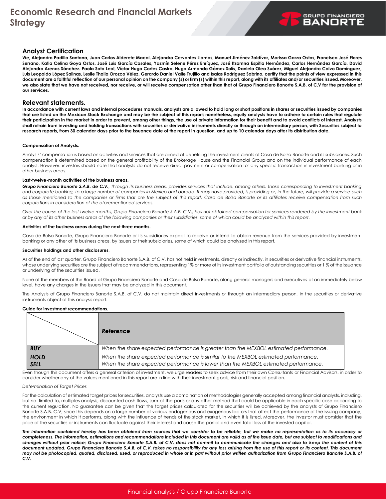#### **Analyst Certification**

**We, Alejandro Padilla Santana, Juan Carlos Alderete Macal, Alejandro Cervantes Llamas, Manuel Jiménez Zaldívar, Marissa Garza Ostos, Francisco José Flores Serrano, Katia Celina Goya Ostos, José Luis García Casales, Yazmín Selene Pérez Enríquez, José Itzamna Espitia Hernández, Carlos Hernández García, David Alejandro Arenas Sánchez. Paola Soto Leal, Víctor Hugo Cortes Castro, Hugo Armando Gómez Solís, Daniela Olea Suárez, Miguel Alejandro Calvo Domínguez, Luis Leopoldo López Salinas, Leslie Thalía Orozco Vélez, Gerardo Daniel Valle Trujillo and Isaías Rodríguez Sobrino, certify that the points of view expressed in this document are a faithful reflection of our personal opinion on the company (s) or firm (s) within this report, along with its affiliates and/or securities issued. Moreover,**  we also state that we have not received, nor receive, or will receive compensation other than that of Grupo Financiero Banorte S.A.B. of C.V for the provision of **our services.**

#### **Relevant statements.**

**In accordance with current laws and internal procedures manuals, analysts are allowed to hold long or short positions in shares or securities issued by companies that are listed on the Mexican Stock Exchange and may be the subject of this report; nonetheless, equity analysts have to adhere to certain rules that regulate their participation in the market in order to prevent, among other things, the use of private information for their benefit and to avoid conflicts of interest. Analysts shall refrain from investing and holding transactions with securities or derivative instruments directly or through an intermediary person, with Securities subject to research reports, from 30 calendar days prior to the issuance date of the report in question, and up to 10 calendar days after its distribution date.**

#### **Compensation of Analysts.**

Analysts' compensation is based on activities and services that are aimed at benefiting the investment clients of Casa de Bolsa Banorte and its subsidiaries. Such compensation is determined based on the general profitability of the Brokerage House and the Financial Group and on the individual performance of each analyst. However, investors should note that analysts do not receive direct payment or compensation for any specific transaction in investment banking or in other business areas.

#### **Last-twelve-month activities of the business areas.**

*Grupo Financiero Banorte S.A.B. de C.V., through its business areas, provides services that include, among others, those corresponding to investment banking and corporate banking, to a large number of companies in Mexico and abroad. It may have provided, is providing or, in the future, will provide a service such as those mentioned to the companies or firms that are the subject of this report. Casa de Bolsa Banorte or its affiliates receive compensation from such corporations in consideration of the aforementioned services.*

*Over the course of the last twelve months, Grupo Financiero Banorte S.A.B. C.V., has not obtained compensation for services rendered by the investment bank or by any of its other business areas of the following companies or their subsidiaries, some of which could be analyzed within this report.*

#### **Activities of the business areas during the next three months.**

Casa de Bolsa Banorte, Grupo Financiero Banorte or its subsidiaries expect to receive or intend to obtain revenue from the services provided by investment banking or any other of its business areas, by issuers or their subsidiaries, some of which could be analyzed in this report.

#### **Securities holdings and other disclosures**.

As of the end of last quarter, Grupo Financiero Banorte S.A.B. of C.V. has not held investments, directly or indirectly, in securities or derivative financial instruments, whose underlying securities are the subject of recommendations, representing 1% or more of its investment portfolio of outstanding securities or 1% of the issuance or underlying of the securities issued.

None of the members of the Board of Grupo Financiero Banorte and Casa de Bolsa Banorte, along general managers and executives of an immediately below level, have any charges in the issuers that may be analyzed in this document.

The Analysts of Grupo Financiero Banorte S.A.B. of C.V. do not maintain direct investments or through an intermediary person, in the securities or derivative instruments object of this analysis report.

#### **Guide for investment recommendations.**

|                            | Reference                                                                                                                                                                  |
|----------------------------|----------------------------------------------------------------------------------------------------------------------------------------------------------------------------|
| <b>BUY</b>                 | When the share expected performance is greater than the MEXBOL estimated performance.                                                                                      |
| <b>HOLD</b><br><b>SELL</b> | When the share expected performance is similar to the MEXBOL estimated performance.<br>When the share expected performance is lower than the MEXBOL estimated performance. |

Even though this document offers a general criterion of investment, we urge readers to seek advice from their own Consultants or Financial Advisors, in order to consider whether any of the values mentioned in this report are in line with their investment goals, risk and financial position.

#### *Determination of Target Prices*

For the calculation of estimated target prices for securities, analysts use a combination of methodologies generally accepted among financial analysts, including, but not limited to, multiples analysis, discounted cash flows, sum-of-the-parts or any other method that could be applicable in each specific case according to the current regulation. No guarantee can be given that the target prices calculated for the securities will be achieved by the analysts of Grupo Financiero Banorte S.A.B. C.V, since this depends on a large number of various endogenous and exogenous factors that affect the performance of the issuing company, the environment in which it performs, along with the influence of trends of the stock market, in which it is listed. Moreover, the investor must consider that the price of the securities or instruments can fluctuate against their interest and cause the partial and even total loss of the invested capital.

*The information contained hereby has been obtained from sources that we consider to be reliable, but we make no representation as to its accuracy or completeness. The information, estimations and recommendations included in this document are valid as of the issue date, but are subject to modifications and changes without prior notice; Grupo Financiero Banorte S.A.B. of C.V. does not commit to communicate the changes and also to keep the content of this*  document updated. Grupo Financiero Banorte S.A.B. of C.V. takes no responsibility for any loss arising from the use of this report or its content. This document *may not be photocopied, quoted, disclosed, used, or reproduced in whole or in part without prior written authorization from Grupo Financiero Banorte S.A.B. of C.V***.**